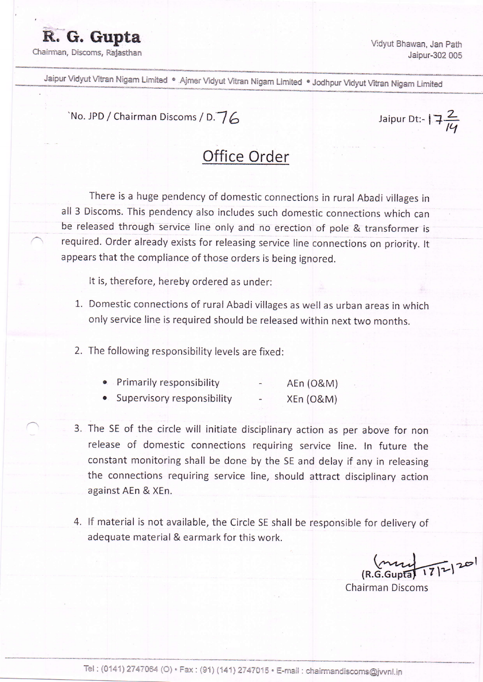R. G. Gupta

Chairman, Discoms, Rajasthan

Vidyut Bhawan, Jan Path Jaipur-302 005

Jaipur Dt:- | 7 $\frac{2}{14}$ 

Jaipur Vidyut Vitran Nigam Limited · Ajmer Vidyut Vitran Nigam Limited · Jodhpur Vidyut Vitran Nigam Limited

'No. JPD / Chairman Discoms / D.  $76$ 

## Office Order

There is a huge pendency of domestic connections in rural Abadi villages in all 3 Discoms. This pendency also includes such domestic connections which can be released through service line only and no erection of pole & transformer is required. Order already exists for releasing service line connections on priority. lt appears that the compliance of those orders is being ignored.

It is, therefore, hereby ordered as under:

- 1. Domestic connections of rural Abadi villages as well as urban areas in which only service line is required should be released within next two months.
- 2. The following responsibility levels are fixed:
	- Primarily responsibility AEn (o&M)
	- Supervisory responsibility XEn (o&M)
- 3. The SE of the circle will initiate disciplinary action as per above for non release of domestic connections requiring service line. In future the constant monitoring shall be done by the SF and delay if any in releasing the connections requiring service line, should attract disciplinary action against AEn & XFn.
- 4. lf material is not available, the Circle SE shall be responslble for delivery of adequate material & earmark for this work.

 $\frac{1}{2}$ (R.G.Gupta)

Chairman Discoms